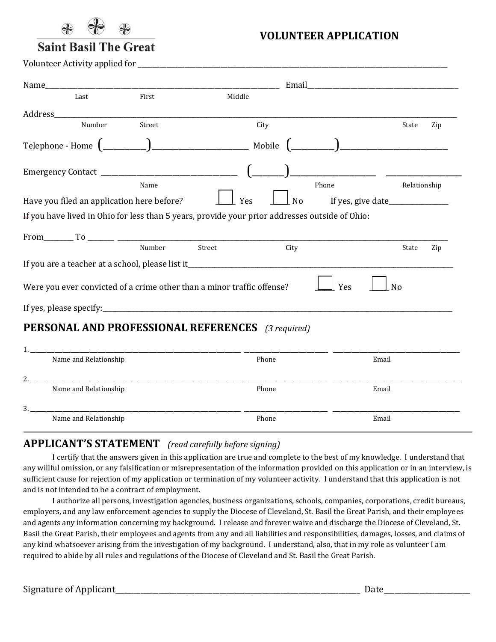

**VOLUNTEER APPLICATION** 

## **Saint Basil The Great**

Volunteer Activity applied for \_\_\_\_\_\_\_\_\_\_\_\_\_\_\_\_\_\_\_\_\_\_\_\_\_\_\_\_\_\_\_\_\_\_\_\_\_\_\_\_\_\_\_\_\_\_\_\_\_\_\_\_\_\_\_\_\_\_\_\_\_\_\_\_\_\_\_\_\_\_\_\_\_\_\_\_\_\_\_\_\_\_\_\_\_\_

| Name                                                                                        |                                                              |                                                                                                | Email and the contract of the contract of the contract of the contract of the contract of the contract of the contract of the contract of the contract of the contract of the contract of the contract of the contract of the |              |
|---------------------------------------------------------------------------------------------|--------------------------------------------------------------|------------------------------------------------------------------------------------------------|-------------------------------------------------------------------------------------------------------------------------------------------------------------------------------------------------------------------------------|--------------|
| Last                                                                                        | First                                                        | Middle                                                                                         |                                                                                                                                                                                                                               |              |
| Address                                                                                     |                                                              |                                                                                                |                                                                                                                                                                                                                               |              |
| Number                                                                                      | Street                                                       | City                                                                                           |                                                                                                                                                                                                                               | State<br>Zip |
| Telephone - Home $\begin{pmatrix} 1 & 1 & 1 \\ 1 & 1 & 1 \\ 1 & 1 & 1 \end{pmatrix}$ Mobile |                                                              |                                                                                                |                                                                                                                                                                                                                               |              |
|                                                                                             |                                                              |                                                                                                |                                                                                                                                                                                                                               |              |
|                                                                                             | Name                                                         |                                                                                                | Phone                                                                                                                                                                                                                         | Relationship |
| Have you filed an application here before?                                                  |                                                              | Yes                                                                                            | <b>No</b>                                                                                                                                                                                                                     |              |
|                                                                                             |                                                              | If you have lived in Ohio for less than 5 years, provide your prior addresses outside of Ohio: |                                                                                                                                                                                                                               |              |
|                                                                                             |                                                              |                                                                                                |                                                                                                                                                                                                                               |              |
|                                                                                             | Number                                                       | Street                                                                                         | City                                                                                                                                                                                                                          | State<br>Zip |
|                                                                                             |                                                              |                                                                                                |                                                                                                                                                                                                                               |              |
|                                                                                             |                                                              | If you are a teacher at a school, please list it_________________________________              |                                                                                                                                                                                                                               |              |
|                                                                                             |                                                              | Were you ever convicted of a crime other than a minor traffic offense?                         | Yes                                                                                                                                                                                                                           | <b>No</b>    |
|                                                                                             |                                                              |                                                                                                |                                                                                                                                                                                                                               |              |
|                                                                                             |                                                              | <b>PERSONAL AND PROFESSIONAL REFERENCES</b> (3 required)                                       |                                                                                                                                                                                                                               |              |
| 1.                                                                                          |                                                              |                                                                                                |                                                                                                                                                                                                                               |              |
| Name and Relationship                                                                       |                                                              | Phone                                                                                          |                                                                                                                                                                                                                               | Email        |
| 2.                                                                                          | <u> 1980 - Johann Stein, mars an de Britannich (b. 1980)</u> |                                                                                                |                                                                                                                                                                                                                               |              |
| Name and Relationship                                                                       |                                                              | Phone                                                                                          |                                                                                                                                                                                                                               | Email        |

3. \_\_\_\_\_\_\_\_\_\_\_\_\_\_\_\_\_\_\_\_\_\_\_\_\_\_\_\_\_\_\_\_\_\_\_\_\_\_\_\_\_\_\_\_\_\_\_\_\_\_\_\_\_\_\_\_\_\_\_\_\_\_\_\_\_\_\_\_\_\_\_\_\_\_\_\_\_\_ \_\_\_\_\_\_\_\_\_\_\_\_\_\_\_\_\_\_\_\_\_\_\_\_\_\_\_\_\_\_\_ \_\_\_\_\_\_\_\_\_\_\_\_\_\_\_\_\_\_\_\_\_\_\_\_\_\_\_\_\_\_\_\_\_\_\_\_\_\_\_\_\_\_\_\_\_\_\_

Name and Relationship **Email** Phone **Email Phone Email** 

## **APPLICANT'S STATEMENT** *(read carefully before signing)*

I certify that the answers given in this application are true and complete to the best of my knowledge. I understand that any willful omission, or any falsification or misrepresentation of the information provided on this application or in an interview, is sufficient cause for rejection of my application or termination of my volunteer activity. I understand that this application is not and is not intended to be a contract of employment.

I authorize all persons, investigation agencies, business organizations, schools, companies, corporations, credit bureaus, employers, and any law enforcement agencies to supply the Diocese of Cleveland, St. Basil the Great Parish, and their employees and agents any information concerning my background. I release and forever waive and discharge the Diocese of Cleveland, St. Basil the Great Parish, their employees and agents from any and all liabilities and responsibilities, damages, losses, and claims of any kind whatsoever arising from the investigation of my background. I understand, also, that in my role as volunteer I am required to abide by all rules and regulations of the Diocese of Cleveland and St. Basil the Great Parish.

Signature of Applicant\_\_\_\_\_\_\_\_\_\_\_\_\_\_\_\_\_\_\_\_\_\_\_\_\_\_\_\_\_\_\_\_\_\_\_\_\_\_\_\_\_\_\_\_\_\_\_\_\_\_\_\_\_\_\_\_\_\_\_\_\_\_\_\_\_\_\_\_ Date\_\_\_\_\_\_\_\_\_\_\_\_\_\_\_\_\_\_\_\_\_\_\_\_